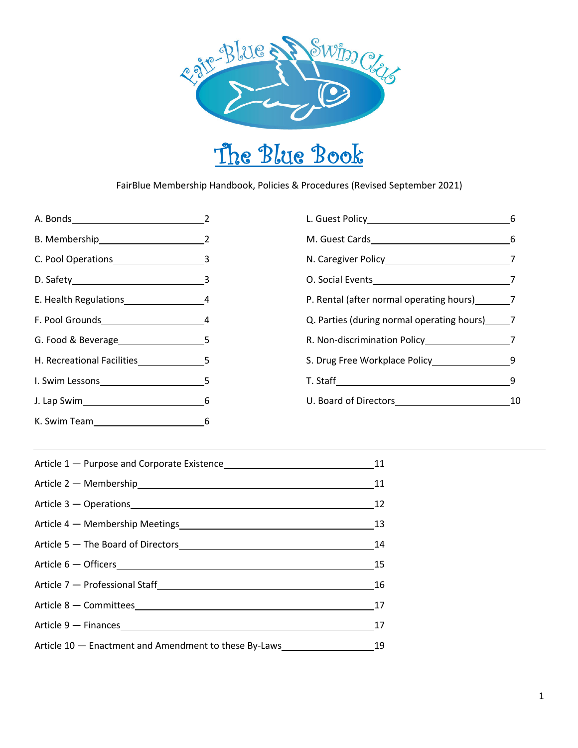

# The Blue Book

FairBlue Membership Handbook, Policies & Procedures (Revised September 2021)

A. Bonds 2 B. Membership 2 C. Pool Operations 3 D. Safety 3 E. Health Regulations 4 F. Pool Grounds 4 G. Food & Beverage 5 H. Recreational Facilities 5 I. Swim Lessons 5 J. Lap Swim 6 K. Swim Team 6

| M. Guest Cards                               | 6  |
|----------------------------------------------|----|
|                                              |    |
| O. Social Events                             |    |
| P. Rental (after normal operating hours) 7   |    |
| Q. Parties (during normal operating hours) 7 |    |
|                                              | 7  |
|                                              | 9  |
| T. Staff <b>State State</b>                  |    |
| U. Board of Directors                        | 10 |
|                                              |    |

|                                                                                                                | 11 |
|----------------------------------------------------------------------------------------------------------------|----|
| Article 2 – Membership<br>Article 2 – Membership                                                               | 11 |
| Article 3 - Operations                                                                                         | 12 |
| Article 4 – Membership Meetings<br><u>Land Communication</u>                                                   | 13 |
|                                                                                                                | 14 |
| Article 6 – Officers <b>Container and Container and Container and Container</b>                                | 15 |
| Article 7 - Professional Staff [1995] [1996] [1996] [1996] [1996] [1996] [1996] [1996] [1996] [1996] [1996] [1 | 16 |
| Article 8 - Committees                                                                                         | 17 |
|                                                                                                                | 17 |
| Article 10 - Enactment and Amendment to these By-Laws                                                          | 19 |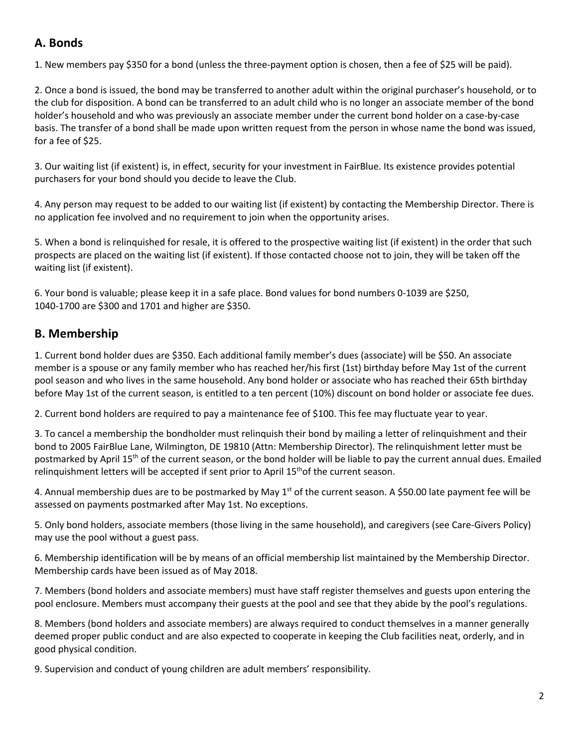# **A. Bonds**

1. New members pay \$350 for a bond (unless the three-payment option is chosen, then a fee of \$25 will be paid).

2. Once a bond is issued, the bond may be transferred to another adult within the original purchaser's household, or to the club for disposition. A bond can be transferred to an adult child who is no longer an associate member of the bond holder's household and who was previously an associate member under the current bond holder on a case-by-case basis. The transfer of a bond shall be made upon written request from the person in whose name the bond was issued, for a fee of \$25.

3. Our waiting list (if existent) is, in effect, security for your investment in FairBlue. Its existence provides potential purchasers for your bond should you decide to leave the Club.

4. Any person may request to be added to our waiting list (if existent) by contacting the Membership Director. There is no application fee involved and no requirement to join when the opportunity arises.

5. When a bond is relinquished for resale, it is offered to the prospective waiting list (if existent) in the order that such prospects are placed on the waiting list (if existent). If those contacted choose not to join, they will be taken off the waiting list (if existent).

6. Your bond is valuable; please keep it in a safe place. Bond values for bond numbers 0-1039 are \$250, 1040-1700 are \$300 and 1701 and higher are \$350.

# **B. Membership**

1. Current bond holder dues are \$350. Each additional family member's dues (associate) will be \$50. An associate member is a spouse or any family member who has reached her/his first (1st) birthday before May 1st of the current pool season and who lives in the same household. Any bond holder or associate who has reached their 65th birthday before May 1st of the current season, is entitled to a ten percent (10%) discount on bond holder or associate fee dues.

2. Current bond holders are required to pay a maintenance fee of \$100. This fee may fluctuate year to year.

3. To cancel a membership the bondholder must relinquish their bond by mailing a letter of relinquishment and their bond to 2005 FairBlue Lane, Wilmington, DE 19810 (Attn: Membership Director). The relinquishment letter must be postmarked by April 15<sup>th</sup> of the current season, or the bond holder will be liable to pay the current annual dues. Emailed relinquishment letters will be accepted if sent prior to April 15<sup>th</sup>of the current season.

4. Annual membership dues are to be postmarked by May 1<sup>st</sup> of the current season. A \$50.00 late payment fee will be assessed on payments postmarked after May 1st. No exceptions.

5. Only bond holders, associate members (those living in the same household), and caregivers (see Care-Givers Policy) may use the pool without a guest pass.

6. Membership identification will be by means of an official membership list maintained by the Membership Director. Membership cards have been issued as of May 2018.

7. Members (bond holders and associate members) must have staff register themselves and guests upon entering the pool enclosure. Members must accompany their guests at the pool and see that they abide by the pool's regulations.

8. Members (bond holders and associate members) are always required to conduct themselves in a manner generally deemed proper public conduct and are also expected to cooperate in keeping the Club facilities neat, orderly, and in good physical condition.

9. Supervision and conduct of young children are adult members' responsibility.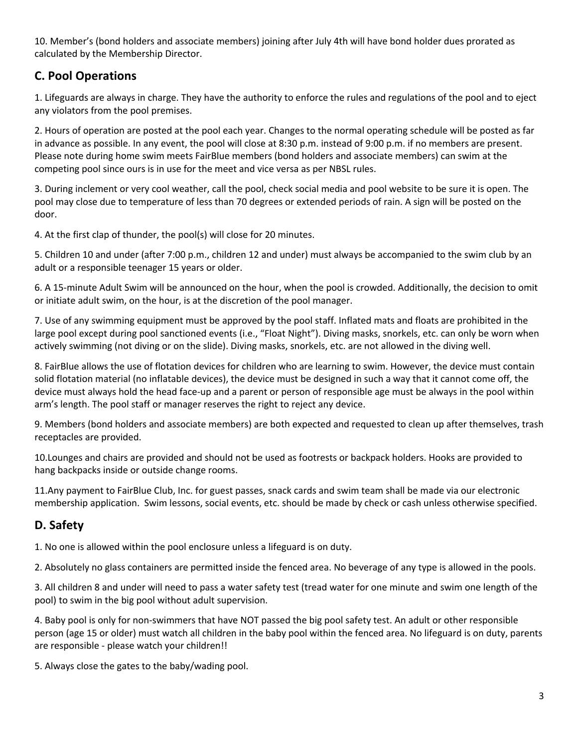10. Member's (bond holders and associate members) joining after July 4th will have bond holder dues prorated as calculated by the Membership Director.

# **C. Pool Operations**

1. Lifeguards are always in charge. They have the authority to enforce the rules and regulations of the pool and to eject any violators from the pool premises.

2. Hours of operation are posted at the pool each year. Changes to the normal operating schedule will be posted as far in advance as possible. In any event, the pool will close at 8:30 p.m. instead of 9:00 p.m. if no members are present. Please note during home swim meets FairBlue members (bond holders and associate members) can swim at the competing pool since ours is in use for the meet and vice versa as per NBSL rules.

3. During inclement or very cool weather, call the pool, check social media and pool website to be sure it is open. The pool may close due to temperature of less than 70 degrees or extended periods of rain. A sign will be posted on the door.

4. At the first clap of thunder, the pool(s) will close for 20 minutes.

5. Children 10 and under (after 7:00 p.m., children 12 and under) must always be accompanied to the swim club by an adult or a responsible teenager 15 years or older.

6. A 15-minute Adult Swim will be announced on the hour, when the pool is crowded. Additionally, the decision to omit or initiate adult swim, on the hour, is at the discretion of the pool manager.

7. Use of any swimming equipment must be approved by the pool staff. Inflated mats and floats are prohibited in the large pool except during pool sanctioned events (i.e., "Float Night"). Diving masks, snorkels, etc. can only be worn when actively swimming (not diving or on the slide). Diving masks, snorkels, etc. are not allowed in the diving well.

8. FairBlue allows the use of flotation devices for children who are learning to swim. However, the device must contain solid flotation material (no inflatable devices), the device must be designed in such a way that it cannot come off, the device must always hold the head face-up and a parent or person of responsible age must be always in the pool within arm's length. The pool staff or manager reserves the right to reject any device.

9. Members (bond holders and associate members) are both expected and requested to clean up after themselves, trash receptacles are provided.

10.Lounges and chairs are provided and should not be used as footrests or backpack holders. Hooks are provided to hang backpacks inside or outside change rooms.

11.Any payment to FairBlue Club, Inc. for guest passes, snack cards and swim team shall be made via our electronic membership application. Swim lessons, social events, etc. should be made by check or cash unless otherwise specified.

# **D. Safety**

1. No one is allowed within the pool enclosure unless a lifeguard is on duty.

2. Absolutely no glass containers are permitted inside the fenced area. No beverage of any type is allowed in the pools.

3. All children 8 and under will need to pass a water safety test (tread water for one minute and swim one length of the pool) to swim in the big pool without adult supervision.

4. Baby pool is only for non-swimmers that have NOT passed the big pool safety test. An adult or other responsible person (age 15 or older) must watch all children in the baby pool within the fenced area. No lifeguard is on duty, parents are responsible - please watch your children!!

5. Always close the gates to the baby/wading pool.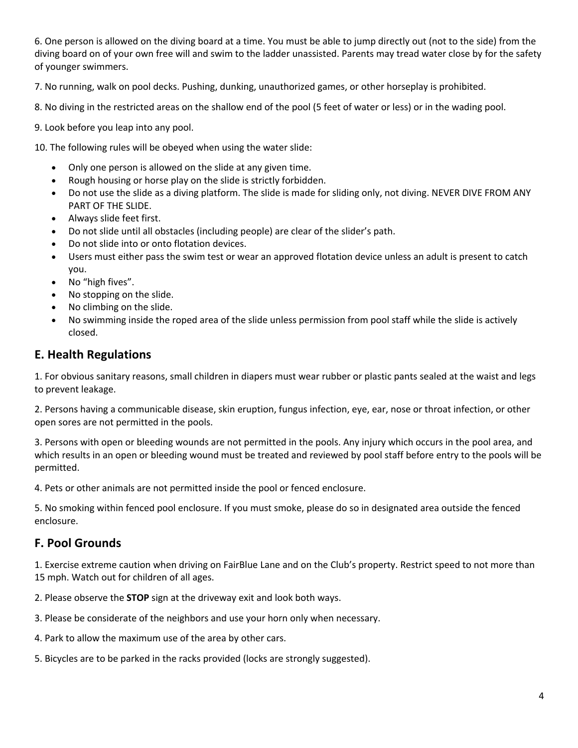6. One person is allowed on the diving board at a time. You must be able to jump directly out (not to the side) from the diving board on of your own free will and swim to the ladder unassisted. Parents may tread water close by for the safety of younger swimmers.

7. No running, walk on pool decks. Pushing, dunking, unauthorized games, or other horseplay is prohibited.

8. No diving in the restricted areas on the shallow end of the pool (5 feet of water or less) or in the wading pool.

9. Look before you leap into any pool.

10. The following rules will be obeyed when using the water slide:

- Only one person is allowed on the slide at any given time.
- Rough housing or horse play on the slide is strictly forbidden.
- Do not use the slide as a diving platform. The slide is made for sliding only, not diving. NEVER DIVE FROM ANY PART OF THE SLIDE.
- Always slide feet first.
- Do not slide until all obstacles (including people) are clear of the slider's path.
- Do not slide into or onto flotation devices.
- Users must either pass the swim test or wear an approved flotation device unless an adult is present to catch you.
- No "high fives".
- No stopping on the slide.
- No climbing on the slide.
- No swimming inside the roped area of the slide unless permission from pool staff while the slide is actively closed.

#### **E. Health Regulations**

1. For obvious sanitary reasons, small children in diapers must wear rubber or plastic pants sealed at the waist and legs to prevent leakage.

2. Persons having a communicable disease, skin eruption, fungus infection, eye, ear, nose or throat infection, or other open sores are not permitted in the pools.

3. Persons with open or bleeding wounds are not permitted in the pools. Any injury which occurs in the pool area, and which results in an open or bleeding wound must be treated and reviewed by pool staff before entry to the pools will be permitted.

4. Pets or other animals are not permitted inside the pool or fenced enclosure.

5. No smoking within fenced pool enclosure. If you must smoke, please do so in designated area outside the fenced enclosure.

#### **F. Pool Grounds**

1. Exercise extreme caution when driving on FairBlue Lane and on the Club's property. Restrict speed to not more than 15 mph. Watch out for children of all ages.

2. Please observe the **STOP** sign at the driveway exit and look both ways.

3. Please be considerate of the neighbors and use your horn only when necessary.

4. Park to allow the maximum use of the area by other cars.

5. Bicycles are to be parked in the racks provided (locks are strongly suggested).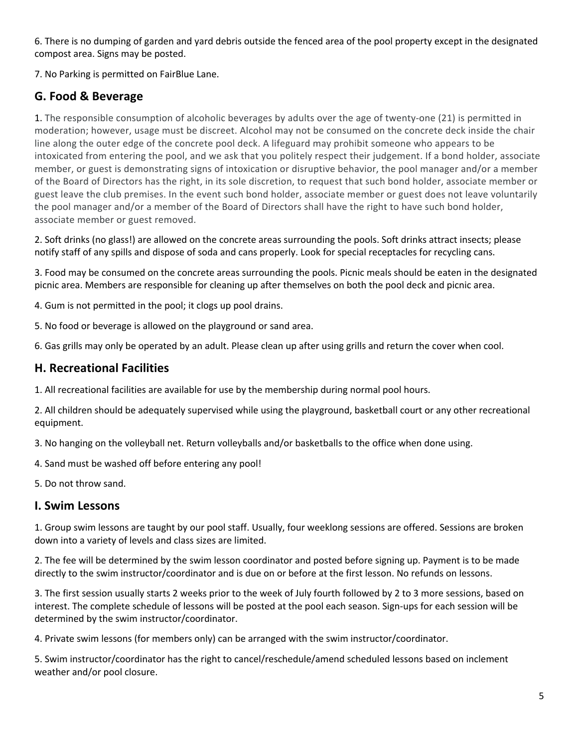6. There is no dumping of garden and yard debris outside the fenced area of the pool property except in the designated compost area. Signs may be posted.

7. No Parking is permitted on FairBlue Lane.

# **G. Food & Beverage**

1. The responsible consumption of alcoholic beverages by adults over the age of twenty-one (21) is permitted in moderation; however, usage must be discreet. Alcohol may not be consumed on the concrete deck inside the chair line along the outer edge of the concrete pool deck. A lifeguard may prohibit someone who appears to be intoxicated from entering the pool, and we ask that you politely respect their judgement. If a bond holder, associate member, or guest is demonstrating signs of intoxication or disruptive behavior, the pool manager and/or a member of the Board of Directors has the right, in its sole discretion, to request that such bond holder, associate member or guest leave the club premises. In the event such bond holder, associate member or guest does not leave voluntarily the pool manager and/or a member of the Board of Directors shall have the right to have such bond holder, associate member or guest removed.

2. Soft drinks (no glass!) are allowed on the concrete areas surrounding the pools. Soft drinks attract insects; please notify staff of any spills and dispose of soda and cans properly. Look for special receptacles for recycling cans.

3. Food may be consumed on the concrete areas surrounding the pools. Picnic meals should be eaten in the designated picnic area. Members are responsible for cleaning up after themselves on both the pool deck and picnic area.

4. Gum is not permitted in the pool; it clogs up pool drains.

5. No food or beverage is allowed on the playground or sand area.

6. Gas grills may only be operated by an adult. Please clean up after using grills and return the cover when cool.

### **H. Recreational Facilities**

1. All recreational facilities are available for use by the membership during normal pool hours.

2. All children should be adequately supervised while using the playground, basketball court or any other recreational equipment.

3. No hanging on the volleyball net. Return volleyballs and/or basketballs to the office when done using.

4. Sand must be washed off before entering any pool!

5. Do not throw sand.

## **I. Swim Lessons**

1. Group swim lessons are taught by our pool staff. Usually, four weeklong sessions are offered. Sessions are broken down into a variety of levels and class sizes are limited.

2. The fee will be determined by the swim lesson coordinator and posted before signing up. Payment is to be made directly to the swim instructor/coordinator and is due on or before at the first lesson. No refunds on lessons.

3. The first session usually starts 2 weeks prior to the week of July fourth followed by 2 to 3 more sessions, based on interest. The complete schedule of lessons will be posted at the pool each season. Sign-ups for each session will be determined by the swim instructor/coordinator.

4. Private swim lessons (for members only) can be arranged with the swim instructor/coordinator.

5. Swim instructor/coordinator has the right to cancel/reschedule/amend scheduled lessons based on inclement weather and/or pool closure.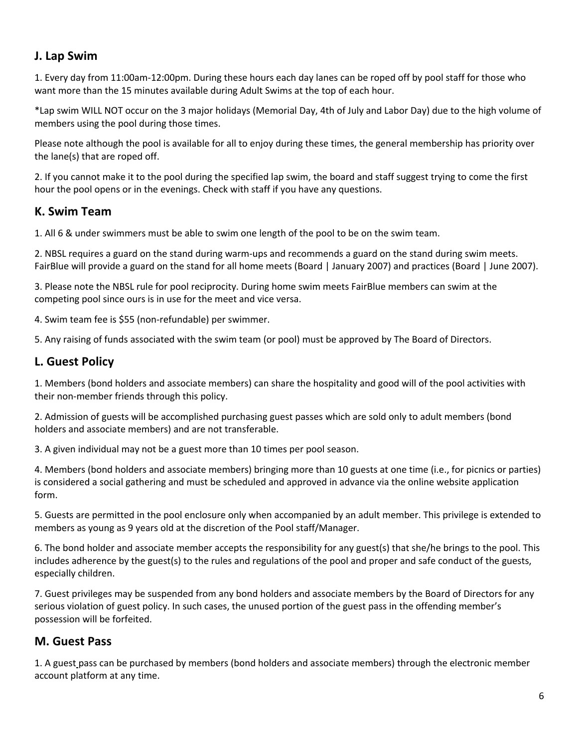## **J. Lap Swim**

1. Every day from 11:00am-12:00pm. During these hours each day lanes can be roped off by pool staff for those who want more than the 15 minutes available during Adult Swims at the top of each hour.

\*Lap swim WILL NOT occur on the 3 major holidays (Memorial Day, 4th of July and Labor Day) due to the high volume of members using the pool during those times.

Please note although the pool is available for all to enjoy during these times, the general membership has priority over the lane(s) that are roped off.

2. If you cannot make it to the pool during the specified lap swim, the board and staff suggest trying to come the first hour the pool opens or in the evenings. Check with staff if you have any questions.

## **K. Swim Team**

1. All 6 & under swimmers must be able to swim one length of the pool to be on the swim team.

2. NBSL requires a guard on the stand during warm-ups and recommends a guard on the stand during swim meets. FairBlue will provide a guard on the stand for all home meets (Board | January 2007) and practices (Board | June 2007).

3. Please note the NBSL rule for pool reciprocity. During home swim meets FairBlue members can swim at the competing pool since ours is in use for the meet and vice versa.

4. Swim team fee is \$55 (non-refundable) per swimmer.

5. Any raising of funds associated with the swim team (or pool) must be approved by The Board of Directors.

## **L. Guest Policy**

1. Members (bond holders and associate members) can share the hospitality and good will of the pool activities with their non-member friends through this policy.

2. Admission of guests will be accomplished purchasing guest passes which are sold only to adult members (bond holders and associate members) and are not transferable.

3. A given individual may not be a guest more than 10 times per pool season.

4. Members (bond holders and associate members) bringing more than 10 guests at one time (i.e., for picnics or parties) is considered a social gathering and must be scheduled and approved in advance via the online website application form.

5. Guests are permitted in the pool enclosure only when accompanied by an adult member. This privilege is extended to members as young as 9 years old at the discretion of the Pool staff/Manager.

6. The bond holder and associate member accepts the responsibility for any guest(s) that she/he brings to the pool. This includes adherence by the guest(s) to the rules and regulations of the pool and proper and safe conduct of the guests, especially children.

7. Guest privileges may be suspended from any bond holders and associate members by the Board of Directors for any serious violation of guest policy. In such cases, the unused portion of the guest pass in the offending member's possession will be forfeited.

## **M. Guest Pass**

1. A guest pass can be purchased by members (bond holders and associate members) through the electronic member account platform at any time.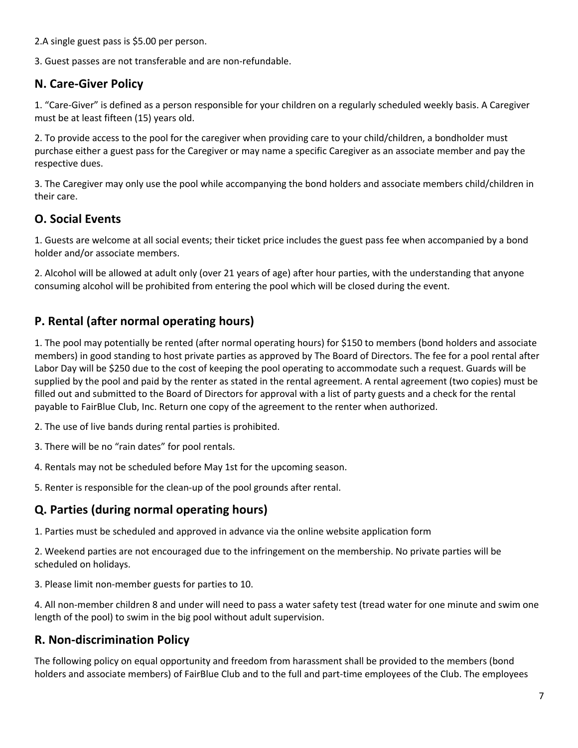2.A single guest pass is \$5.00 per person.

3. Guest passes are not transferable and are non-refundable.

## **N. Care-Giver Policy**

1. "Care-Giver" is defined as a person responsible for your children on a regularly scheduled weekly basis. A Caregiver must be at least fifteen (15) years old.

2. To provide access to the pool for the caregiver when providing care to your child/children, a bondholder must purchase either a guest pass for the Caregiver or may name a specific Caregiver as an associate member and pay the respective dues.

3. The Caregiver may only use the pool while accompanying the bond holders and associate members child/children in their care.

## **O. Social Events**

1. Guests are welcome at all social events; their ticket price includes the guest pass fee when accompanied by a bond holder and/or associate members.

2. Alcohol will be allowed at adult only (over 21 years of age) after hour parties, with the understanding that anyone consuming alcohol will be prohibited from entering the pool which will be closed during the event.

## **P. Rental (after normal operating hours)**

1. The pool may potentially be rented (after normal operating hours) for \$150 to members (bond holders and associate members) in good standing to host private parties as approved by The Board of Directors. The fee for a pool rental after Labor Day will be \$250 due to the cost of keeping the pool operating to accommodate such a request. Guards will be supplied by the pool and paid by the renter as stated in the rental agreement. A rental agreement (two copies) must be filled out and submitted to the Board of Directors for approval with a list of party guests and a check for the rental payable to FairBlue Club, Inc. Return one copy of the agreement to the renter when authorized.

2. The use of live bands during rental parties is prohibited.

3. There will be no "rain dates" for pool rentals.

4. Rentals may not be scheduled before May 1st for the upcoming season.

5. Renter is responsible for the clean-up of the pool grounds after rental.

## **Q. Parties (during normal operating hours)**

1. Parties must be scheduled and approved in advance via the online website application form

2. Weekend parties are not encouraged due to the infringement on the membership. No private parties will be scheduled on holidays.

3. Please limit non-member guests for parties to 10.

4. All non-member children 8 and under will need to pass a water safety test (tread water for one minute and swim one length of the pool) to swim in the big pool without adult supervision.

## **R. Non-discrimination Policy**

The following policy on equal opportunity and freedom from harassment shall be provided to the members (bond holders and associate members) of FairBlue Club and to the full and part-time employees of the Club. The employees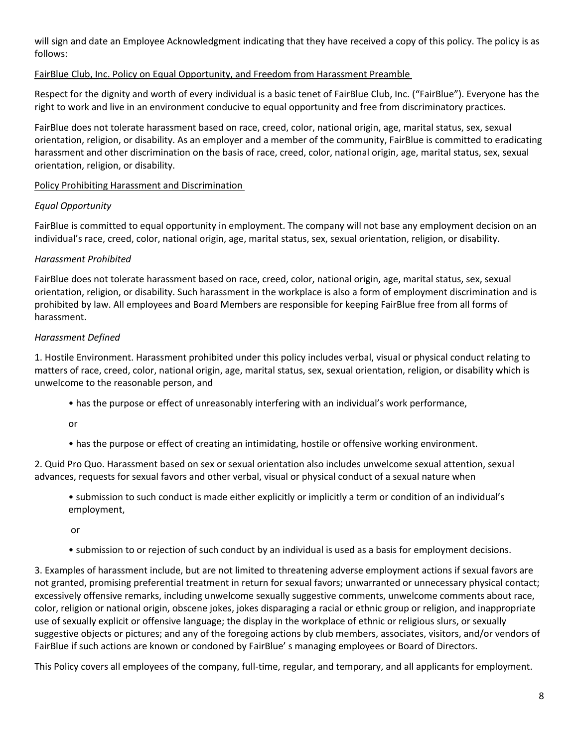will sign and date an Employee Acknowledgment indicating that they have received a copy of this policy. The policy is as follows:

#### FairBlue Club, Inc. Policy on Equal Opportunity, and Freedom from Harassment Preamble

Respect for the dignity and worth of every individual is a basic tenet of FairBlue Club, Inc. ("FairBlue"). Everyone has the right to work and live in an environment conducive to equal opportunity and free from discriminatory practices.

FairBlue does not tolerate harassment based on race, creed, color, national origin, age, marital status, sex, sexual orientation, religion, or disability. As an employer and a member of the community, FairBlue is committed to eradicating harassment and other discrimination on the basis of race, creed, color, national origin, age, marital status, sex, sexual orientation, religion, or disability.

Policy Prohibiting Harassment and Discrimination

#### *Equal Opportunity*

FairBlue is committed to equal opportunity in employment. The company will not base any employment decision on an individual's race, creed, color, national origin, age, marital status, sex, sexual orientation, religion, or disability.

#### *Harassment Prohibited*

FairBlue does not tolerate harassment based on race, creed, color, national origin, age, marital status, sex, sexual orientation, religion, or disability. Such harassment in the workplace is also a form of employment discrimination and is prohibited by law. All employees and Board Members are responsible for keeping FairBlue free from all forms of harassment.

#### *Harassment Defined*

1. Hostile Environment. Harassment prohibited under this policy includes verbal, visual or physical conduct relating to matters of race, creed, color, national origin, age, marital status, sex, sexual orientation, religion, or disability which is unwelcome to the reasonable person, and

• has the purpose or effect of unreasonably interfering with an individual's work performance,

or

• has the purpose or effect of creating an intimidating, hostile or offensive working environment.

2. Quid Pro Quo. Harassment based on sex or sexual orientation also includes unwelcome sexual attention, sexual advances, requests for sexual favors and other verbal, visual or physical conduct of a sexual nature when

• submission to such conduct is made either explicitly or implicitly a term or condition of an individual's employment,

or

• submission to or rejection of such conduct by an individual is used as a basis for employment decisions.

3. Examples of harassment include, but are not limited to threatening adverse employment actions if sexual favors are not granted, promising preferential treatment in return for sexual favors; unwarranted or unnecessary physical contact; excessively offensive remarks, including unwelcome sexually suggestive comments, unwelcome comments about race, color, religion or national origin, obscene jokes, jokes disparaging a racial or ethnic group or religion, and inappropriate use of sexually explicit or offensive language; the display in the workplace of ethnic or religious slurs, or sexually suggestive objects or pictures; and any of the foregoing actions by club members, associates, visitors, and/or vendors of FairBlue if such actions are known or condoned by FairBlue' s managing employees or Board of Directors.

This Policy covers all employees of the company, full-time, regular, and temporary, and all applicants for employment.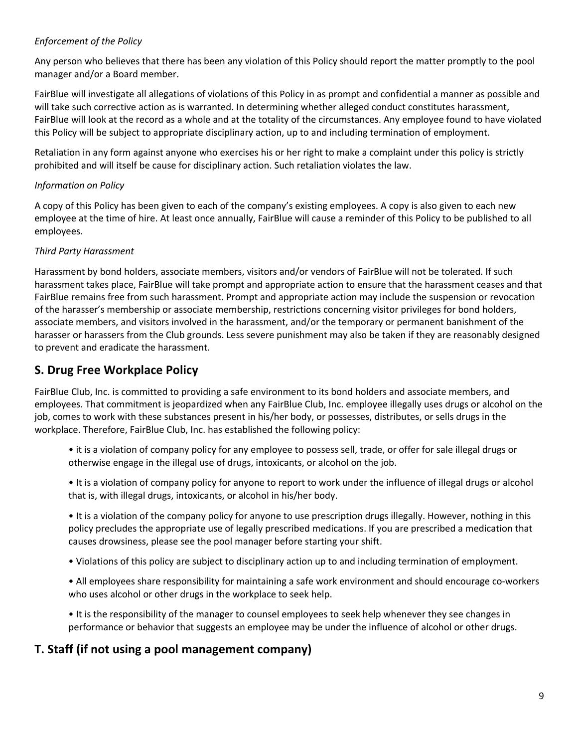#### *Enforcement of the Policy*

Any person who believes that there has been any violation of this Policy should report the matter promptly to the pool manager and/or a Board member.

FairBlue will investigate all allegations of violations of this Policy in as prompt and confidential a manner as possible and will take such corrective action as is warranted. In determining whether alleged conduct constitutes harassment, FairBlue will look at the record as a whole and at the totality of the circumstances. Any employee found to have violated this Policy will be subject to appropriate disciplinary action, up to and including termination of employment.

Retaliation in any form against anyone who exercises his or her right to make a complaint under this policy is strictly prohibited and will itself be cause for disciplinary action. Such retaliation violates the law.

#### *Information on Policy*

A copy of this Policy has been given to each of the company's existing employees. A copy is also given to each new employee at the time of hire. At least once annually, FairBlue will cause a reminder of this Policy to be published to all employees.

#### *Third Party Harassment*

Harassment by bond holders, associate members, visitors and/or vendors of FairBlue will not be tolerated. If such harassment takes place, FairBlue will take prompt and appropriate action to ensure that the harassment ceases and that FairBlue remains free from such harassment. Prompt and appropriate action may include the suspension or revocation of the harasser's membership or associate membership, restrictions concerning visitor privileges for bond holders, associate members, and visitors involved in the harassment, and/or the temporary or permanent banishment of the harasser or harassers from the Club grounds. Less severe punishment may also be taken if they are reasonably designed to prevent and eradicate the harassment.

## **S. Drug Free Workplace Policy**

FairBlue Club, Inc. is committed to providing a safe environment to its bond holders and associate members, and employees. That commitment is jeopardized when any FairBlue Club, Inc. employee illegally uses drugs or alcohol on the job, comes to work with these substances present in his/her body, or possesses, distributes, or sells drugs in the workplace. Therefore, FairBlue Club, Inc. has established the following policy:

- it is a violation of company policy for any employee to possess sell, trade, or offer for sale illegal drugs or otherwise engage in the illegal use of drugs, intoxicants, or alcohol on the job.
- It is a violation of company policy for anyone to report to work under the influence of illegal drugs or alcohol that is, with illegal drugs, intoxicants, or alcohol in his/her body.

• It is a violation of the company policy for anyone to use prescription drugs illegally. However, nothing in this policy precludes the appropriate use of legally prescribed medications. If you are prescribed a medication that causes drowsiness, please see the pool manager before starting your shift.

- Violations of this policy are subject to disciplinary action up to and including termination of employment.
- All employees share responsibility for maintaining a safe work environment and should encourage co-workers who uses alcohol or other drugs in the workplace to seek help.
- It is the responsibility of the manager to counsel employees to seek help whenever they see changes in performance or behavior that suggests an employee may be under the influence of alcohol or other drugs.

## **T. Staff (if not using a pool management company)**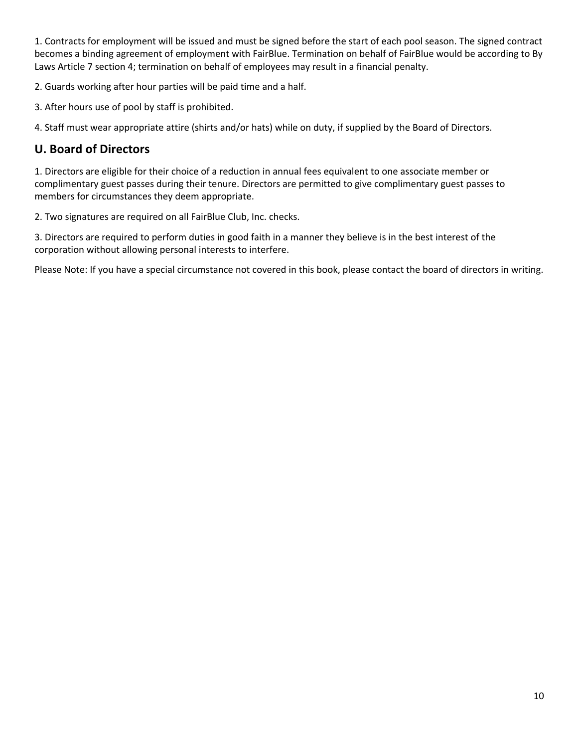1. Contracts for employment will be issued and must be signed before the start of each pool season. The signed contract becomes a binding agreement of employment with FairBlue. Termination on behalf of FairBlue would be according to By Laws Article 7 section 4; termination on behalf of employees may result in a financial penalty.

2. Guards working after hour parties will be paid time and a half.

3. After hours use of pool by staff is prohibited.

4. Staff must wear appropriate attire (shirts and/or hats) while on duty, if supplied by the Board of Directors.

## **U. Board of Directors**

1. Directors are eligible for their choice of a reduction in annual fees equivalent to one associate member or complimentary guest passes during their tenure. Directors are permitted to give complimentary guest passes to members for circumstances they deem appropriate.

2. Two signatures are required on all FairBlue Club, Inc. checks.

3. Directors are required to perform duties in good faith in a manner they believe is in the best interest of the corporation without allowing personal interests to interfere.

Please Note: If you have a special circumstance not covered in this book, please contact the board of directors in writing.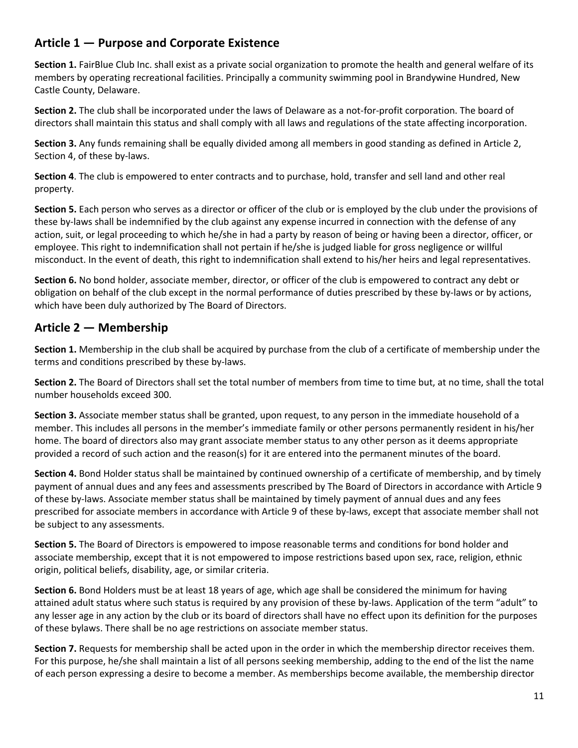# **Article 1 — Purpose and Corporate Existence**

**Section 1.** FairBlue Club Inc. shall exist as a private social organization to promote the health and general welfare of its members by operating recreational facilities. Principally a community swimming pool in Brandywine Hundred, New Castle County, Delaware.

**Section 2.** The club shall be incorporated under the laws of Delaware as a not-for-profit corporation. The board of directors shall maintain this status and shall comply with all laws and regulations of the state affecting incorporation.

**Section 3.** Any funds remaining shall be equally divided among all members in good standing as defined in Article 2, Section 4, of these by-laws.

**Section 4**. The club is empowered to enter contracts and to purchase, hold, transfer and sell land and other real property.

**Section 5.** Each person who serves as a director or officer of the club or is employed by the club under the provisions of these by-laws shall be indemnified by the club against any expense incurred in connection with the defense of any action, suit, or legal proceeding to which he/she in had a party by reason of being or having been a director, officer, or employee. This right to indemnification shall not pertain if he/she is judged liable for gross negligence or willful misconduct. In the event of death, this right to indemnification shall extend to his/her heirs and legal representatives.

**Section 6.** No bond holder, associate member, director, or officer of the club is empowered to contract any debt or obligation on behalf of the club except in the normal performance of duties prescribed by these by-laws or by actions, which have been duly authorized by The Board of Directors.

## **Article 2 — Membership**

**Section 1.** Membership in the club shall be acquired by purchase from the club of a certificate of membership under the terms and conditions prescribed by these by-laws.

**Section 2.** The Board of Directors shall set the total number of members from time to time but, at no time, shall the total number households exceed 300.

**Section 3.** Associate member status shall be granted, upon request, to any person in the immediate household of a member. This includes all persons in the member's immediate family or other persons permanently resident in his/her home. The board of directors also may grant associate member status to any other person as it deems appropriate provided a record of such action and the reason(s) for it are entered into the permanent minutes of the board.

**Section 4.** Bond Holder status shall be maintained by continued ownership of a certificate of membership, and by timely payment of annual dues and any fees and assessments prescribed by The Board of Directors in accordance with Article 9 of these by-laws. Associate member status shall be maintained by timely payment of annual dues and any fees prescribed for associate members in accordance with Article 9 of these by-laws, except that associate member shall not be subject to any assessments.

**Section 5.** The Board of Directors is empowered to impose reasonable terms and conditions for bond holder and associate membership, except that it is not empowered to impose restrictions based upon sex, race, religion, ethnic origin, political beliefs, disability, age, or similar criteria.

**Section 6.** Bond Holders must be at least 18 years of age, which age shall be considered the minimum for having attained adult status where such status is required by any provision of these by-laws. Application of the term "adult" to any lesser age in any action by the club or its board of directors shall have no effect upon its definition for the purposes of these bylaws. There shall be no age restrictions on associate member status.

**Section 7.** Requests for membership shall be acted upon in the order in which the membership director receives them. For this purpose, he/she shall maintain a list of all persons seeking membership, adding to the end of the list the name of each person expressing a desire to become a member. As memberships become available, the membership director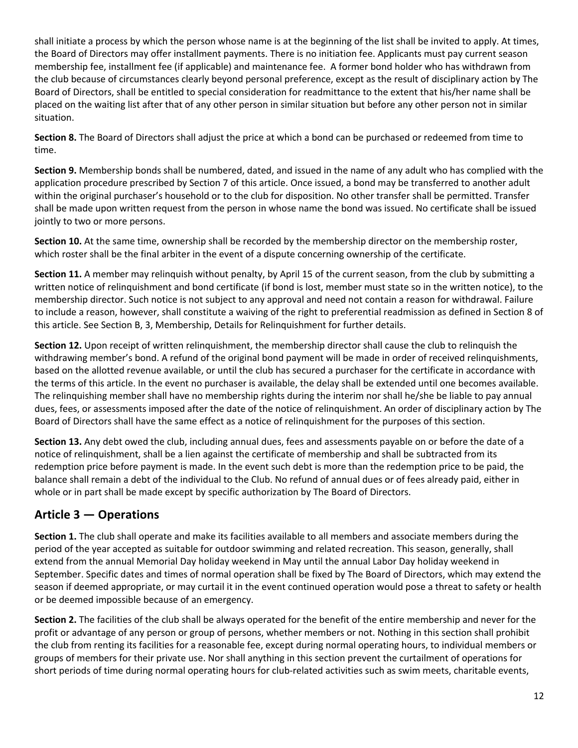shall initiate a process by which the person whose name is at the beginning of the list shall be invited to apply. At times, the Board of Directors may offer installment payments. There is no initiation fee. Applicants must pay current season membership fee, installment fee (if applicable) and maintenance fee. A former bond holder who has withdrawn from the club because of circumstances clearly beyond personal preference, except as the result of disciplinary action by The Board of Directors, shall be entitled to special consideration for readmittance to the extent that his/her name shall be placed on the waiting list after that of any other person in similar situation but before any other person not in similar situation.

**Section 8.** The Board of Directors shall adjust the price at which a bond can be purchased or redeemed from time to time.

**Section 9.** Membership bonds shall be numbered, dated, and issued in the name of any adult who has complied with the application procedure prescribed by Section 7 of this article. Once issued, a bond may be transferred to another adult within the original purchaser's household or to the club for disposition. No other transfer shall be permitted. Transfer shall be made upon written request from the person in whose name the bond was issued. No certificate shall be issued jointly to two or more persons.

**Section 10.** At the same time, ownership shall be recorded by the membership director on the membership roster, which roster shall be the final arbiter in the event of a dispute concerning ownership of the certificate.

**Section 11.** A member may relinquish without penalty, by April 15 of the current season, from the club by submitting a written notice of relinquishment and bond certificate (if bond is lost, member must state so in the written notice), to the membership director. Such notice is not subject to any approval and need not contain a reason for withdrawal. Failure to include a reason, however, shall constitute a waiving of the right to preferential readmission as defined in Section 8 of this article. See Section B, 3, Membership, Details for Relinquishment for further details.

**Section 12.** Upon receipt of written relinquishment, the membership director shall cause the club to relinquish the withdrawing member's bond. A refund of the original bond payment will be made in order of received relinquishments, based on the allotted revenue available, or until the club has secured a purchaser for the certificate in accordance with the terms of this article. In the event no purchaser is available, the delay shall be extended until one becomes available. The relinquishing member shall have no membership rights during the interim nor shall he/she be liable to pay annual dues, fees, or assessments imposed after the date of the notice of relinquishment. An order of disciplinary action by The Board of Directors shall have the same effect as a notice of relinquishment for the purposes of this section.

**Section 13.** Any debt owed the club, including annual dues, fees and assessments payable on or before the date of a notice of relinquishment, shall be a lien against the certificate of membership and shall be subtracted from its redemption price before payment is made. In the event such debt is more than the redemption price to be paid, the balance shall remain a debt of the individual to the Club. No refund of annual dues or of fees already paid, either in whole or in part shall be made except by specific authorization by The Board of Directors.

# **Article 3 — Operations**

**Section 1.** The club shall operate and make its facilities available to all members and associate members during the period of the year accepted as suitable for outdoor swimming and related recreation. This season, generally, shall extend from the annual Memorial Day holiday weekend in May until the annual Labor Day holiday weekend in September. Specific dates and times of normal operation shall be fixed by The Board of Directors, which may extend the season if deemed appropriate, or may curtail it in the event continued operation would pose a threat to safety or health or be deemed impossible because of an emergency.

**Section 2.** The facilities of the club shall be always operated for the benefit of the entire membership and never for the profit or advantage of any person or group of persons, whether members or not. Nothing in this section shall prohibit the club from renting its facilities for a reasonable fee, except during normal operating hours, to individual members or groups of members for their private use. Nor shall anything in this section prevent the curtailment of operations for short periods of time during normal operating hours for club-related activities such as swim meets, charitable events,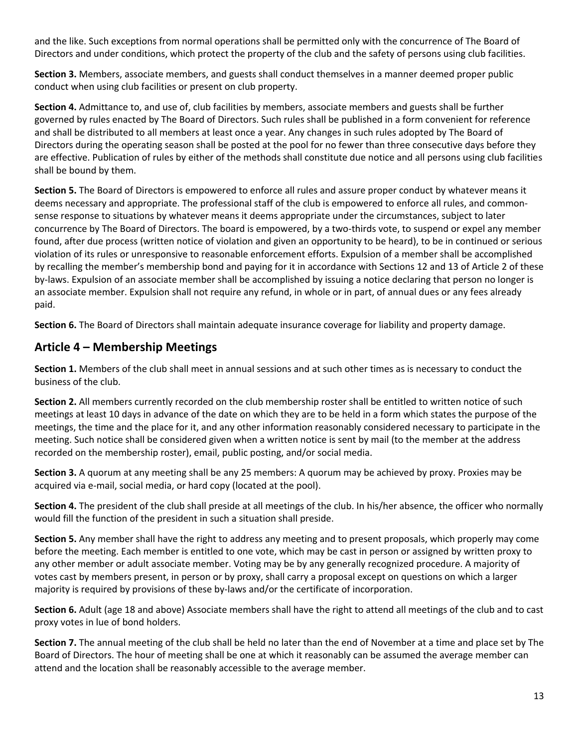and the like. Such exceptions from normal operations shall be permitted only with the concurrence of The Board of Directors and under conditions, which protect the property of the club and the safety of persons using club facilities.

**Section 3.** Members, associate members, and guests shall conduct themselves in a manner deemed proper public conduct when using club facilities or present on club property.

**Section 4.** Admittance to, and use of, club facilities by members, associate members and guests shall be further governed by rules enacted by The Board of Directors. Such rules shall be published in a form convenient for reference and shall be distributed to all members at least once a year. Any changes in such rules adopted by The Board of Directors during the operating season shall be posted at the pool for no fewer than three consecutive days before they are effective. Publication of rules by either of the methods shall constitute due notice and all persons using club facilities shall be bound by them.

**Section 5.** The Board of Directors is empowered to enforce all rules and assure proper conduct by whatever means it deems necessary and appropriate. The professional staff of the club is empowered to enforce all rules, and commonsense response to situations by whatever means it deems appropriate under the circumstances, subject to later concurrence by The Board of Directors. The board is empowered, by a two-thirds vote, to suspend or expel any member found, after due process (written notice of violation and given an opportunity to be heard), to be in continued or serious violation of its rules or unresponsive to reasonable enforcement efforts. Expulsion of a member shall be accomplished by recalling the member's membership bond and paying for it in accordance with Sections 12 and 13 of Article 2 of these by-laws. Expulsion of an associate member shall be accomplished by issuing a notice declaring that person no longer is an associate member. Expulsion shall not require any refund, in whole or in part, of annual dues or any fees already paid.

**Section 6.** The Board of Directors shall maintain adequate insurance coverage for liability and property damage.

## **Article 4 – Membership Meetings**

**Section 1.** Members of the club shall meet in annual sessions and at such other times as is necessary to conduct the business of the club.

**Section 2.** All members currently recorded on the club membership roster shall be entitled to written notice of such meetings at least 10 days in advance of the date on which they are to be held in a form which states the purpose of the meetings, the time and the place for it, and any other information reasonably considered necessary to participate in the meeting. Such notice shall be considered given when a written notice is sent by mail (to the member at the address recorded on the membership roster), email, public posting, and/or social media.

**Section 3.** A quorum at any meeting shall be any 25 members: A quorum may be achieved by proxy. Proxies may be acquired via e-mail, social media, or hard copy (located at the pool).

**Section 4.** The president of the club shall preside at all meetings of the club. In his/her absence, the officer who normally would fill the function of the president in such a situation shall preside.

**Section 5.** Any member shall have the right to address any meeting and to present proposals, which properly may come before the meeting. Each member is entitled to one vote, which may be cast in person or assigned by written proxy to any other member or adult associate member. Voting may be by any generally recognized procedure. A majority of votes cast by members present, in person or by proxy, shall carry a proposal except on questions on which a larger majority is required by provisions of these by-laws and/or the certificate of incorporation.

**Section 6.** Adult (age 18 and above) Associate members shall have the right to attend all meetings of the club and to cast proxy votes in lue of bond holders.

**Section 7.** The annual meeting of the club shall be held no later than the end of November at a time and place set by The Board of Directors. The hour of meeting shall be one at which it reasonably can be assumed the average member can attend and the location shall be reasonably accessible to the average member.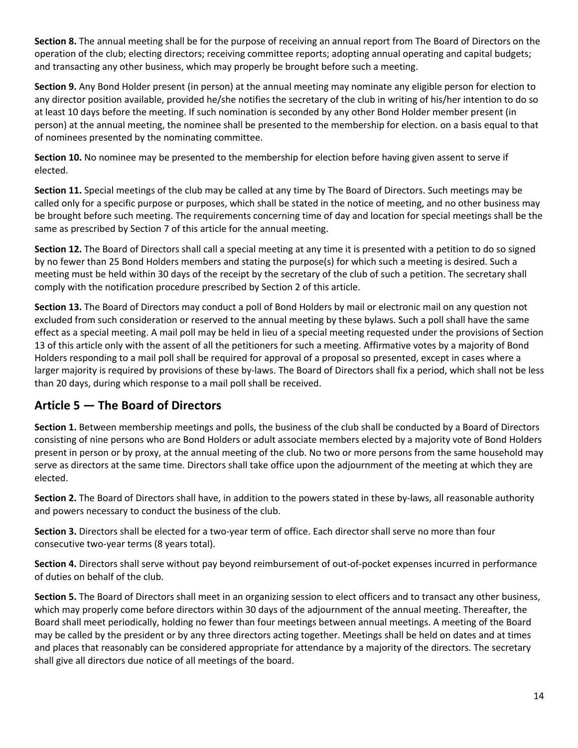**Section 8.** The annual meeting shall be for the purpose of receiving an annual report from The Board of Directors on the operation of the club; electing directors; receiving committee reports; adopting annual operating and capital budgets; and transacting any other business, which may properly be brought before such a meeting.

**Section 9.** Any Bond Holder present (in person) at the annual meeting may nominate any eligible person for election to any director position available, provided he/she notifies the secretary of the club in writing of his/her intention to do so at least 10 days before the meeting. If such nomination is seconded by any other Bond Holder member present (in person) at the annual meeting, the nominee shall be presented to the membership for election. on a basis equal to that of nominees presented by the nominating committee.

**Section 10.** No nominee may be presented to the membership for election before having given assent to serve if elected.

**Section 11.** Special meetings of the club may be called at any time by The Board of Directors. Such meetings may be called only for a specific purpose or purposes, which shall be stated in the notice of meeting, and no other business may be brought before such meeting. The requirements concerning time of day and location for special meetings shall be the same as prescribed by Section 7 of this article for the annual meeting.

**Section 12.** The Board of Directors shall call a special meeting at any time it is presented with a petition to do so signed by no fewer than 25 Bond Holders members and stating the purpose(s) for which such a meeting is desired. Such a meeting must be held within 30 days of the receipt by the secretary of the club of such a petition. The secretary shall comply with the notification procedure prescribed by Section 2 of this article.

**Section 13.** The Board of Directors may conduct a poll of Bond Holders by mail or electronic mail on any question not excluded from such consideration or reserved to the annual meeting by these bylaws. Such a poll shall have the same effect as a special meeting. A mail poll may be held in lieu of a special meeting requested under the provisions of Section 13 of this article only with the assent of all the petitioners for such a meeting. Affirmative votes by a majority of Bond Holders responding to a mail poll shall be required for approval of a proposal so presented, except in cases where a larger majority is required by provisions of these by-laws. The Board of Directors shall fix a period, which shall not be less than 20 days, during which response to a mail poll shall be received.

## **Article 5 — The Board of Directors**

**Section 1.** Between membership meetings and polls, the business of the club shall be conducted by a Board of Directors consisting of nine persons who are Bond Holders or adult associate members elected by a majority vote of Bond Holders present in person or by proxy, at the annual meeting of the club. No two or more persons from the same household may serve as directors at the same time. Directors shall take office upon the adjournment of the meeting at which they are elected.

**Section 2.** The Board of Directors shall have, in addition to the powers stated in these by-laws, all reasonable authority and powers necessary to conduct the business of the club.

**Section 3.** Directors shall be elected for a two-year term of office. Each director shall serve no more than four consecutive two-year terms (8 years total).

**Section 4.** Directors shall serve without pay beyond reimbursement of out-of-pocket expenses incurred in performance of duties on behalf of the club.

**Section 5.** The Board of Directors shall meet in an organizing session to elect officers and to transact any other business, which may properly come before directors within 30 days of the adjournment of the annual meeting. Thereafter, the Board shall meet periodically, holding no fewer than four meetings between annual meetings. A meeting of the Board may be called by the president or by any three directors acting together. Meetings shall be held on dates and at times and places that reasonably can be considered appropriate for attendance by a majority of the directors. The secretary shall give all directors due notice of all meetings of the board.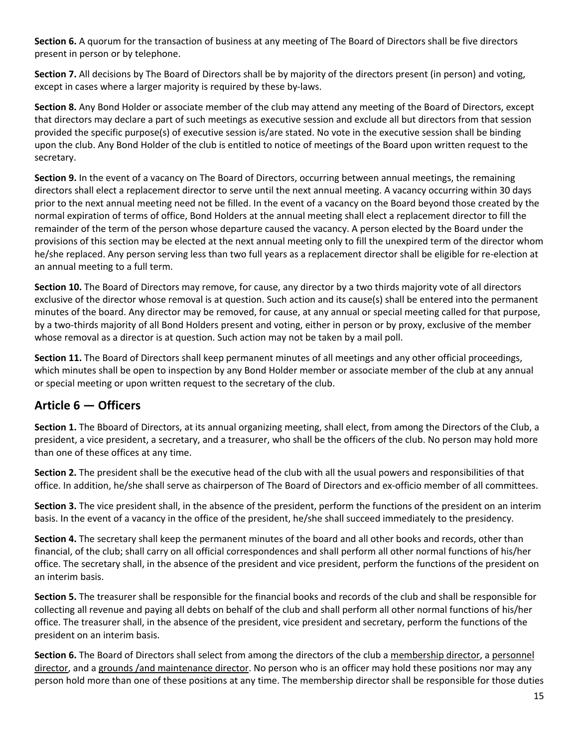**Section 6.** A quorum for the transaction of business at any meeting of The Board of Directors shall be five directors present in person or by telephone.

**Section 7.** All decisions by The Board of Directors shall be by majority of the directors present (in person) and voting, except in cases where a larger majority is required by these by-laws.

**Section 8.** Any Bond Holder or associate member of the club may attend any meeting of the Board of Directors, except that directors may declare a part of such meetings as executive session and exclude all but directors from that session provided the specific purpose(s) of executive session is/are stated. No vote in the executive session shall be binding upon the club. Any Bond Holder of the club is entitled to notice of meetings of the Board upon written request to the secretary.

**Section 9.** In the event of a vacancy on The Board of Directors, occurring between annual meetings, the remaining directors shall elect a replacement director to serve until the next annual meeting. A vacancy occurring within 30 days prior to the next annual meeting need not be filled. In the event of a vacancy on the Board beyond those created by the normal expiration of terms of office, Bond Holders at the annual meeting shall elect a replacement director to fill the remainder of the term of the person whose departure caused the vacancy. A person elected by the Board under the provisions of this section may be elected at the next annual meeting only to fill the unexpired term of the director whom he/she replaced. Any person serving less than two full years as a replacement director shall be eligible for re-election at an annual meeting to a full term.

**Section 10.** The Board of Directors may remove, for cause, any director by a two thirds majority vote of all directors exclusive of the director whose removal is at question. Such action and its cause(s) shall be entered into the permanent minutes of the board. Any director may be removed, for cause, at any annual or special meeting called for that purpose, by a two-thirds majority of all Bond Holders present and voting, either in person or by proxy, exclusive of the member whose removal as a director is at question. Such action may not be taken by a mail poll.

**Section 11.** The Board of Directors shall keep permanent minutes of all meetings and any other official proceedings, which minutes shall be open to inspection by any Bond Holder member or associate member of the club at any annual or special meeting or upon written request to the secretary of the club.

## **Article 6 — Officers**

**Section 1.** The Bboard of Directors, at its annual organizing meeting, shall elect, from among the Directors of the Club, a president, a vice president, a secretary, and a treasurer, who shall be the officers of the club. No person may hold more than one of these offices at any time.

**Section 2.** The president shall be the executive head of the club with all the usual powers and responsibilities of that office. In addition, he/she shall serve as chairperson of The Board of Directors and ex-officio member of all committees.

**Section 3.** The vice president shall, in the absence of the president, perform the functions of the president on an interim basis. In the event of a vacancy in the office of the president, he/she shall succeed immediately to the presidency.

**Section 4.** The secretary shall keep the permanent minutes of the board and all other books and records, other than financial, of the club; shall carry on all official correspondences and shall perform all other normal functions of his/her office. The secretary shall, in the absence of the president and vice president, perform the functions of the president on an interim basis.

**Section 5.** The treasurer shall be responsible for the financial books and records of the club and shall be responsible for collecting all revenue and paying all debts on behalf of the club and shall perform all other normal functions of his/her office. The treasurer shall, in the absence of the president, vice president and secretary, perform the functions of the president on an interim basis.

**Section 6.** The Board of Directors shall select from among the directors of the club a membership director, a personnel director, and a grounds /and maintenance director. No person who is an officer may hold these positions nor may any person hold more than one of these positions at any time. The membership director shall be responsible for those duties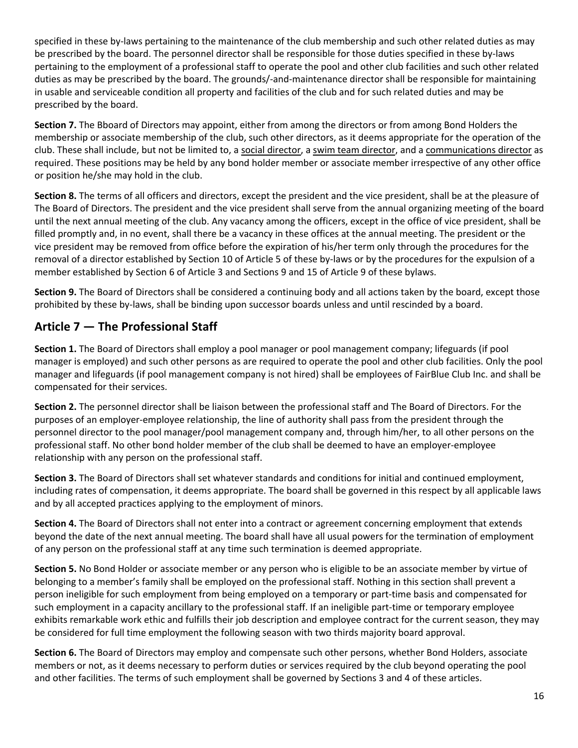specified in these by-laws pertaining to the maintenance of the club membership and such other related duties as may be prescribed by the board. The personnel director shall be responsible for those duties specified in these by-laws pertaining to the employment of a professional staff to operate the pool and other club facilities and such other related duties as may be prescribed by the board. The grounds/-and-maintenance director shall be responsible for maintaining in usable and serviceable condition all property and facilities of the club and for such related duties and may be prescribed by the board.

**Section 7.** The Bboard of Directors may appoint, either from among the directors or from among Bond Holders the membership or associate membership of the club, such other directors, as it deems appropriate for the operation of the club. These shall include, but not be limited to, a social director, a swim team director, and a communications director as required. These positions may be held by any bond holder member or associate member irrespective of any other office or position he/she may hold in the club.

**Section 8.** The terms of all officers and directors, except the president and the vice president, shall be at the pleasure of The Board of Directors. The president and the vice president shall serve from the annual organizing meeting of the board until the next annual meeting of the club. Any vacancy among the officers, except in the office of vice president, shall be filled promptly and, in no event, shall there be a vacancy in these offices at the annual meeting. The president or the vice president may be removed from office before the expiration of his/her term only through the procedures for the removal of a director established by Section 10 of Article 5 of these by-laws or by the procedures for the expulsion of a member established by Section 6 of Article 3 and Sections 9 and 15 of Article 9 of these bylaws.

**Section 9.** The Board of Directors shall be considered a continuing body and all actions taken by the board, except those prohibited by these by-laws, shall be binding upon successor boards unless and until rescinded by a board.

# **Article 7 — The Professional Staff**

**Section 1.** The Board of Directors shall employ a pool manager or pool management company; lifeguards (if pool manager is employed) and such other persons as are required to operate the pool and other club facilities. Only the pool manager and lifeguards (if pool management company is not hired) shall be employees of FairBlue Club Inc. and shall be compensated for their services.

**Section 2.** The personnel director shall be liaison between the professional staff and The Board of Directors. For the purposes of an employer-employee relationship, the line of authority shall pass from the president through the personnel director to the pool manager/pool management company and, through him/her, to all other persons on the professional staff. No other bond holder member of the club shall be deemed to have an employer-employee relationship with any person on the professional staff.

**Section 3.** The Board of Directors shall set whatever standards and conditions for initial and continued employment, including rates of compensation, it deems appropriate. The board shall be governed in this respect by all applicable laws and by all accepted practices applying to the employment of minors.

**Section 4.** The Board of Directors shall not enter into a contract or agreement concerning employment that extends beyond the date of the next annual meeting. The board shall have all usual powers for the termination of employment of any person on the professional staff at any time such termination is deemed appropriate.

**Section 5.** No Bond Holder or associate member or any person who is eligible to be an associate member by virtue of belonging to a member's family shall be employed on the professional staff. Nothing in this section shall prevent a person ineligible for such employment from being employed on a temporary or part-time basis and compensated for such employment in a capacity ancillary to the professional staff. If an ineligible part-time or temporary employee exhibits remarkable work ethic and fulfills their job description and employee contract for the current season, they may be considered for full time employment the following season with two thirds majority board approval.

**Section 6.** The Board of Directors may employ and compensate such other persons, whether Bond Holders, associate members or not, as it deems necessary to perform duties or services required by the club beyond operating the pool and other facilities. The terms of such employment shall be governed by Sections 3 and 4 of these articles.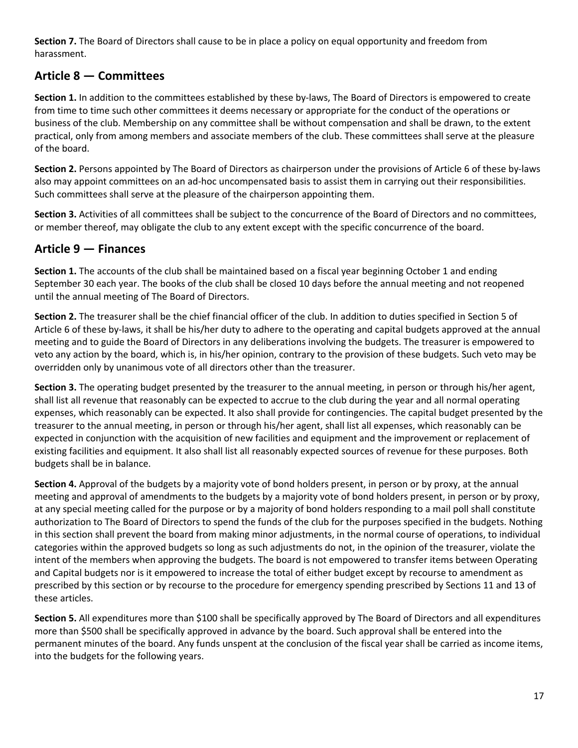**Section 7.** The Board of Directors shall cause to be in place a policy on equal opportunity and freedom from harassment.

# **Article 8 — Committees**

**Section 1.** In addition to the committees established by these by-laws, The Board of Directors is empowered to create from time to time such other committees it deems necessary or appropriate for the conduct of the operations or business of the club. Membership on any committee shall be without compensation and shall be drawn, to the extent practical, only from among members and associate members of the club. These committees shall serve at the pleasure of the board.

**Section 2.** Persons appointed by The Board of Directors as chairperson under the provisions of Article 6 of these by-laws also may appoint committees on an ad-hoc uncompensated basis to assist them in carrying out their responsibilities. Such committees shall serve at the pleasure of the chairperson appointing them.

**Section 3.** Activities of all committees shall be subject to the concurrence of the Board of Directors and no committees, or member thereof, may obligate the club to any extent except with the specific concurrence of the board.

## **Article 9 — Finances**

**Section 1.** The accounts of the club shall be maintained based on a fiscal year beginning October 1 and ending September 30 each year. The books of the club shall be closed 10 days before the annual meeting and not reopened until the annual meeting of The Board of Directors.

**Section 2.** The treasurer shall be the chief financial officer of the club. In addition to duties specified in Section 5 of Article 6 of these by-laws, it shall be his/her duty to adhere to the operating and capital budgets approved at the annual meeting and to guide the Board of Directors in any deliberations involving the budgets. The treasurer is empowered to veto any action by the board, which is, in his/her opinion, contrary to the provision of these budgets. Such veto may be overridden only by unanimous vote of all directors other than the treasurer.

**Section 3.** The operating budget presented by the treasurer to the annual meeting, in person or through his/her agent, shall list all revenue that reasonably can be expected to accrue to the club during the year and all normal operating expenses, which reasonably can be expected. It also shall provide for contingencies. The capital budget presented by the treasurer to the annual meeting, in person or through his/her agent, shall list all expenses, which reasonably can be expected in conjunction with the acquisition of new facilities and equipment and the improvement or replacement of existing facilities and equipment. It also shall list all reasonably expected sources of revenue for these purposes. Both budgets shall be in balance.

**Section 4.** Approval of the budgets by a majority vote of bond holders present, in person or by proxy, at the annual meeting and approval of amendments to the budgets by a majority vote of bond holders present, in person or by proxy, at any special meeting called for the purpose or by a majority of bond holders responding to a mail poll shall constitute authorization to The Board of Directors to spend the funds of the club for the purposes specified in the budgets. Nothing in this section shall prevent the board from making minor adjustments, in the normal course of operations, to individual categories within the approved budgets so long as such adjustments do not, in the opinion of the treasurer, violate the intent of the members when approving the budgets. The board is not empowered to transfer items between Operating and Capital budgets nor is it empowered to increase the total of either budget except by recourse to amendment as prescribed by this section or by recourse to the procedure for emergency spending prescribed by Sections 11 and 13 of these articles.

**Section 5.** All expenditures more than \$100 shall be specifically approved by The Board of Directors and all expenditures more than \$500 shall be specifically approved in advance by the board. Such approval shall be entered into the permanent minutes of the board. Any funds unspent at the conclusion of the fiscal year shall be carried as income items, into the budgets for the following years.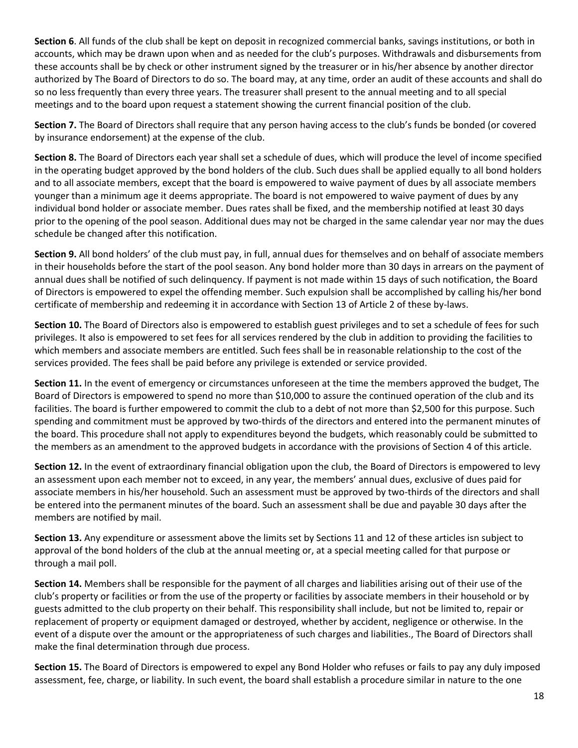**Section 6**. All funds of the club shall be kept on deposit in recognized commercial banks, savings institutions, or both in accounts, which may be drawn upon when and as needed for the club's purposes. Withdrawals and disbursements from these accounts shall be by check or other instrument signed by the treasurer or in his/her absence by another director authorized by The Board of Directors to do so. The board may, at any time, order an audit of these accounts and shall do so no less frequently than every three years. The treasurer shall present to the annual meeting and to all special meetings and to the board upon request a statement showing the current financial position of the club.

**Section 7.** The Board of Directors shall require that any person having access to the club's funds be bonded (or covered by insurance endorsement) at the expense of the club.

**Section 8.** The Board of Directors each year shall set a schedule of dues, which will produce the level of income specified in the operating budget approved by the bond holders of the club. Such dues shall be applied equally to all bond holders and to all associate members, except that the board is empowered to waive payment of dues by all associate members younger than a minimum age it deems appropriate. The board is not empowered to waive payment of dues by any individual bond holder or associate member. Dues rates shall be fixed, and the membership notified at least 30 days prior to the opening of the pool season. Additional dues may not be charged in the same calendar year nor may the dues schedule be changed after this notification.

**Section 9.** All bond holders' of the club must pay, in full, annual dues for themselves and on behalf of associate members in their households before the start of the pool season. Any bond holder more than 30 days in arrears on the payment of annual dues shall be notified of such delinquency. If payment is not made within 15 days of such notification, the Board of Directors is empowered to expel the offending member. Such expulsion shall be accomplished by calling his/her bond certificate of membership and redeeming it in accordance with Section 13 of Article 2 of these by-laws.

**Section 10.** The Board of Directors also is empowered to establish guest privileges and to set a schedule of fees for such privileges. It also is empowered to set fees for all services rendered by the club in addition to providing the facilities to which members and associate members are entitled. Such fees shall be in reasonable relationship to the cost of the services provided. The fees shall be paid before any privilege is extended or service provided.

**Section 11.** In the event of emergency or circumstances unforeseen at the time the members approved the budget, The Board of Directors is empowered to spend no more than \$10,000 to assure the continued operation of the club and its facilities. The board is further empowered to commit the club to a debt of not more than \$2,500 for this purpose. Such spending and commitment must be approved by two-thirds of the directors and entered into the permanent minutes of the board. This procedure shall not apply to expenditures beyond the budgets, which reasonably could be submitted to the members as an amendment to the approved budgets in accordance with the provisions of Section 4 of this article.

**Section 12.** In the event of extraordinary financial obligation upon the club, the Board of Directors is empowered to levy an assessment upon each member not to exceed, in any year, the members' annual dues, exclusive of dues paid for associate members in his/her household. Such an assessment must be approved by two-thirds of the directors and shall be entered into the permanent minutes of the board. Such an assessment shall be due and payable 30 days after the members are notified by mail.

**Section 13.** Any expenditure or assessment above the limits set by Sections 11 and 12 of these articles isn subject to approval of the bond holders of the club at the annual meeting or, at a special meeting called for that purpose or through a mail poll.

**Section 14.** Members shall be responsible for the payment of all charges and liabilities arising out of their use of the club's property or facilities or from the use of the property or facilities by associate members in their household or by guests admitted to the club property on their behalf. This responsibility shall include, but not be limited to, repair or replacement of property or equipment damaged or destroyed, whether by accident, negligence or otherwise. In the event of a dispute over the amount or the appropriateness of such charges and liabilities., The Board of Directors shall make the final determination through due process.

**Section 15.** The Board of Directors is empowered to expel any Bond Holder who refuses or fails to pay any duly imposed assessment, fee, charge, or liability. In such event, the board shall establish a procedure similar in nature to the one